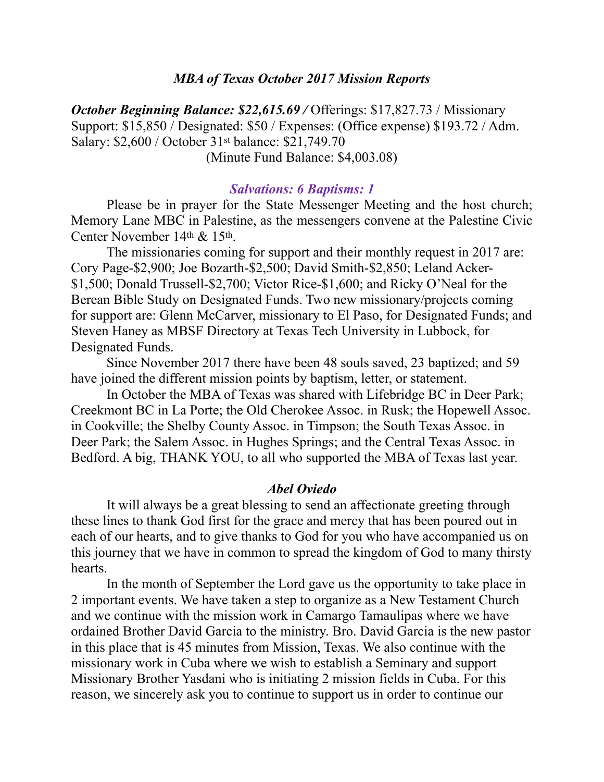# *MBA of Texas October 2017 Mission Reports*

*October Beginning Balance: \$22,615.69 / Offerings: \$17,827.73 / Missionary* Support: \$15,850 / Designated: \$50 / Expenses: (Office expense) \$193.72 / Adm. Salary: \$2,600 / October 31st balance: \$21,749.70 (Minute Fund Balance: \$4,003.08)

### *Salvations: 6 Baptisms: 1*

 Please be in prayer for the State Messenger Meeting and the host church; Memory Lane MBC in Palestine, as the messengers convene at the Palestine Civic Center November 14th & 15th.

 The missionaries coming for support and their monthly request in 2017 are: Cory Page-\$2,900; Joe Bozarth-\$2,500; David Smith-\$2,850; Leland Acker- \$1,500; Donald Trussell-\$2,700; Victor Rice-\$1,600; and Ricky O'Neal for the Berean Bible Study on Designated Funds. Two new missionary/projects coming for support are: Glenn McCarver, missionary to El Paso, for Designated Funds; and Steven Haney as MBSF Directory at Texas Tech University in Lubbock, for Designated Funds.

 Since November 2017 there have been 48 souls saved, 23 baptized; and 59 have joined the different mission points by baptism, letter, or statement.

 In October the MBA of Texas was shared with Lifebridge BC in Deer Park; Creekmont BC in La Porte; the Old Cherokee Assoc. in Rusk; the Hopewell Assoc. in Cookville; the Shelby County Assoc. in Timpson; the South Texas Assoc. in Deer Park; the Salem Assoc. in Hughes Springs; and the Central Texas Assoc. in Bedford. A big, THANK YOU, to all who supported the MBA of Texas last year.

### *Abel Oviedo*

 It will always be a great blessing to send an affectionate greeting through these lines to thank God first for the grace and mercy that has been poured out in each of our hearts, and to give thanks to God for you who have accompanied us on this journey that we have in common to spread the kingdom of God to many thirsty hearts.

 In the month of September the Lord gave us the opportunity to take place in 2 important events. We have taken a step to organize as a New Testament Church and we continue with the mission work in Camargo Tamaulipas where we have ordained Brother David Garcia to the ministry. Bro. David Garcia is the new pastor in this place that is 45 minutes from Mission, Texas. We also continue with the missionary work in Cuba where we wish to establish a Seminary and support Missionary Brother Yasdani who is initiating 2 mission fields in Cuba. For this reason, we sincerely ask you to continue to support us in order to continue our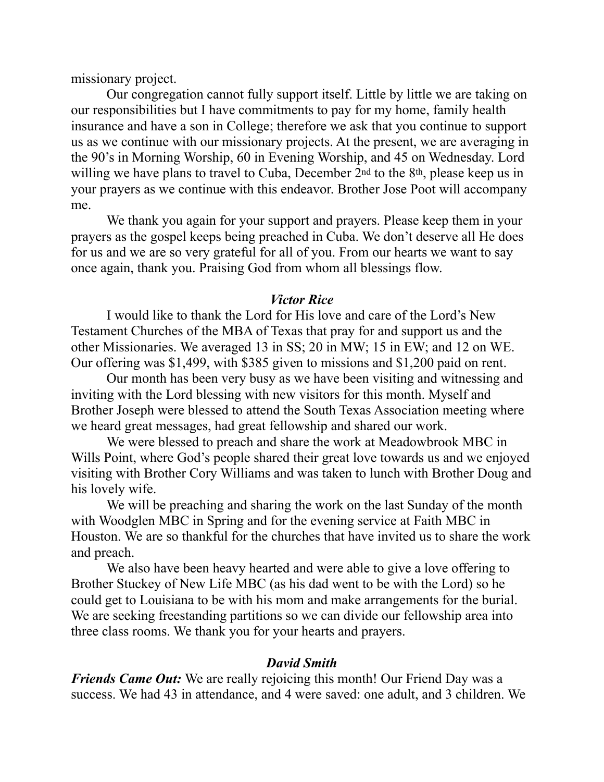missionary project.

 Our congregation cannot fully support itself. Little by little we are taking on our responsibilities but I have commitments to pay for my home, family health insurance and have a son in College; therefore we ask that you continue to support us as we continue with our missionary projects. At the present, we are averaging in the 90's in Morning Worship, 60 in Evening Worship, and 45 on Wednesday. Lord willing we have plans to travel to Cuba, December 2<sup>nd</sup> to the 8<sup>th</sup>, please keep us in your prayers as we continue with this endeavor. Brother Jose Poot will accompany me.

 We thank you again for your support and prayers. Please keep them in your prayers as the gospel keeps being preached in Cuba. We don't deserve all He does for us and we are so very grateful for all of you. From our hearts we want to say once again, thank you. Praising God from whom all blessings flow.

## *Victor Rice*

 I would like to thank the Lord for His love and care of the Lord's New Testament Churches of the MBA of Texas that pray for and support us and the other Missionaries. We averaged 13 in SS; 20 in MW; 15 in EW; and 12 on WE. Our offering was \$1,499, with \$385 given to missions and \$1,200 paid on rent.

 Our month has been very busy as we have been visiting and witnessing and inviting with the Lord blessing with new visitors for this month. Myself and Brother Joseph were blessed to attend the South Texas Association meeting where we heard great messages, had great fellowship and shared our work.

 We were blessed to preach and share the work at Meadowbrook MBC in Wills Point, where God's people shared their great love towards us and we enjoyed visiting with Brother Cory Williams and was taken to lunch with Brother Doug and his lovely wife.

 We will be preaching and sharing the work on the last Sunday of the month with Woodglen MBC in Spring and for the evening service at Faith MBC in Houston. We are so thankful for the churches that have invited us to share the work and preach.

 We also have been heavy hearted and were able to give a love offering to Brother Stuckey of New Life MBC (as his dad went to be with the Lord) so he could get to Louisiana to be with his mom and make arrangements for the burial. We are seeking freestanding partitions so we can divide our fellowship area into three class rooms. We thank you for your hearts and prayers.

## *David Smith*

*Friends Came Out:* We are really rejoicing this month! Our Friend Day was a success. We had 43 in attendance, and 4 were saved: one adult, and 3 children. We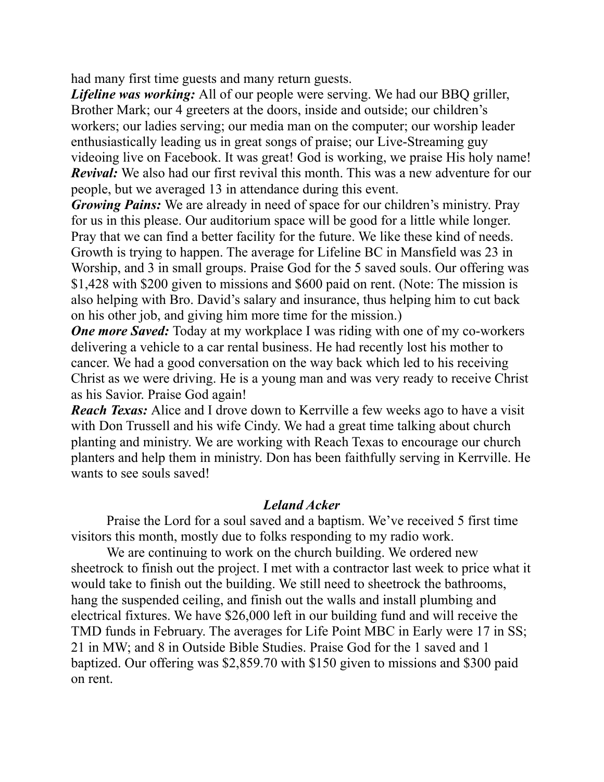had many first time guests and many return guests.

*Lifeline was working:* All of our people were serving. We had our BBQ griller, Brother Mark; our 4 greeters at the doors, inside and outside; our children's workers; our ladies serving; our media man on the computer; our worship leader enthusiastically leading us in great songs of praise; our Live-Streaming guy videoing live on Facebook. It was great! God is working, we praise His holy name! *Revival:* We also had our first revival this month. This was a new adventure for our people, but we averaged 13 in attendance during this event.

*Growing Pains:* We are already in need of space for our children's ministry. Pray for us in this please. Our auditorium space will be good for a little while longer. Pray that we can find a better facility for the future. We like these kind of needs. Growth is trying to happen. The average for Lifeline BC in Mansfield was 23 in Worship, and 3 in small groups. Praise God for the 5 saved souls. Our offering was \$1,428 with \$200 given to missions and \$600 paid on rent. (Note: The mission is also helping with Bro. David's salary and insurance, thus helping him to cut back on his other job, and giving him more time for the mission.)

*One more Saved:* Today at my workplace I was riding with one of my co-workers delivering a vehicle to a car rental business. He had recently lost his mother to cancer. We had a good conversation on the way back which led to his receiving Christ as we were driving. He is a young man and was very ready to receive Christ as his Savior. Praise God again!

*Reach Texas:* Alice and I drove down to Kerrville a few weeks ago to have a visit with Don Trussell and his wife Cindy. We had a great time talking about church planting and ministry. We are working with Reach Texas to encourage our church planters and help them in ministry. Don has been faithfully serving in Kerrville. He wants to see souls saved!

# *Leland Acker*

 Praise the Lord for a soul saved and a baptism. We've received 5 first time visitors this month, mostly due to folks responding to my radio work.

 We are continuing to work on the church building. We ordered new sheetrock to finish out the project. I met with a contractor last week to price what it would take to finish out the building. We still need to sheetrock the bathrooms, hang the suspended ceiling, and finish out the walls and install plumbing and electrical fixtures. We have \$26,000 left in our building fund and will receive the TMD funds in February. The averages for Life Point MBC in Early were 17 in SS; 21 in MW; and 8 in Outside Bible Studies. Praise God for the 1 saved and 1 baptized. Our offering was \$2,859.70 with \$150 given to missions and \$300 paid on rent.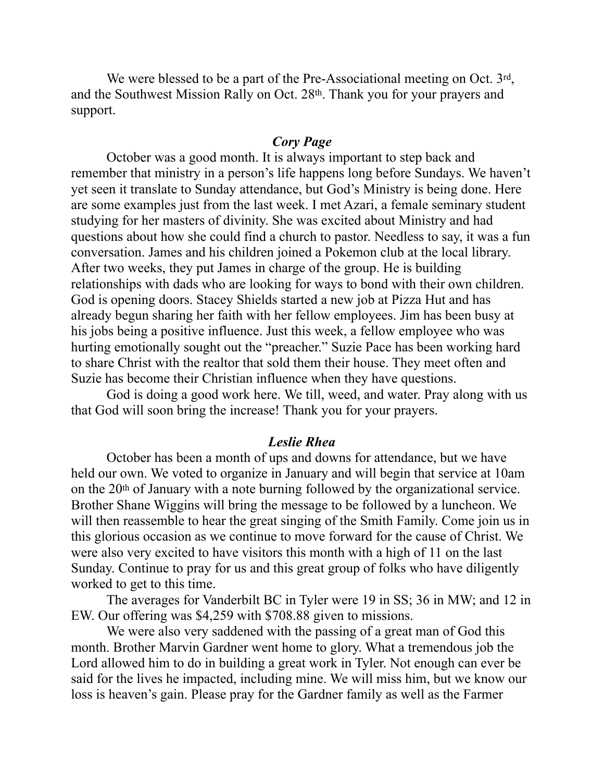We were blessed to be a part of the Pre-Associational meeting on Oct. 3rd, and the Southwest Mission Rally on Oct. 28th. Thank you for your prayers and support.

#### *Cory Page*

 October was a good month. It is always important to step back and remember that ministry in a person's life happens long before Sundays. We haven't yet seen it translate to Sunday attendance, but God's Ministry is being done. Here are some examples just from the last week. I met Azari, a female seminary student studying for her masters of divinity. She was excited about Ministry and had questions about how she could find a church to pastor. Needless to say, it was a fun conversation. James and his children joined a Pokemon club at the local library. After two weeks, they put James in charge of the group. He is building relationships with dads who are looking for ways to bond with their own children. God is opening doors. Stacey Shields started a new job at Pizza Hut and has already begun sharing her faith with her fellow employees. Jim has been busy at his jobs being a positive influence. Just this week, a fellow employee who was hurting emotionally sought out the "preacher." Suzie Pace has been working hard to share Christ with the realtor that sold them their house. They meet often and Suzie has become their Christian influence when they have questions.

 God is doing a good work here. We till, weed, and water. Pray along with us that God will soon bring the increase! Thank you for your prayers.

## *Leslie Rhea*

 October has been a month of ups and downs for attendance, but we have held our own. We voted to organize in January and will begin that service at 10am on the 20th of January with a note burning followed by the organizational service. Brother Shane Wiggins will bring the message to be followed by a luncheon. We will then reassemble to hear the great singing of the Smith Family. Come join us in this glorious occasion as we continue to move forward for the cause of Christ. We were also very excited to have visitors this month with a high of 11 on the last Sunday. Continue to pray for us and this great group of folks who have diligently worked to get to this time.

 The averages for Vanderbilt BC in Tyler were 19 in SS; 36 in MW; and 12 in EW. Our offering was \$4,259 with \$708.88 given to missions.

We were also very saddened with the passing of a great man of God this month. Brother Marvin Gardner went home to glory. What a tremendous job the Lord allowed him to do in building a great work in Tyler. Not enough can ever be said for the lives he impacted, including mine. We will miss him, but we know our loss is heaven's gain. Please pray for the Gardner family as well as the Farmer